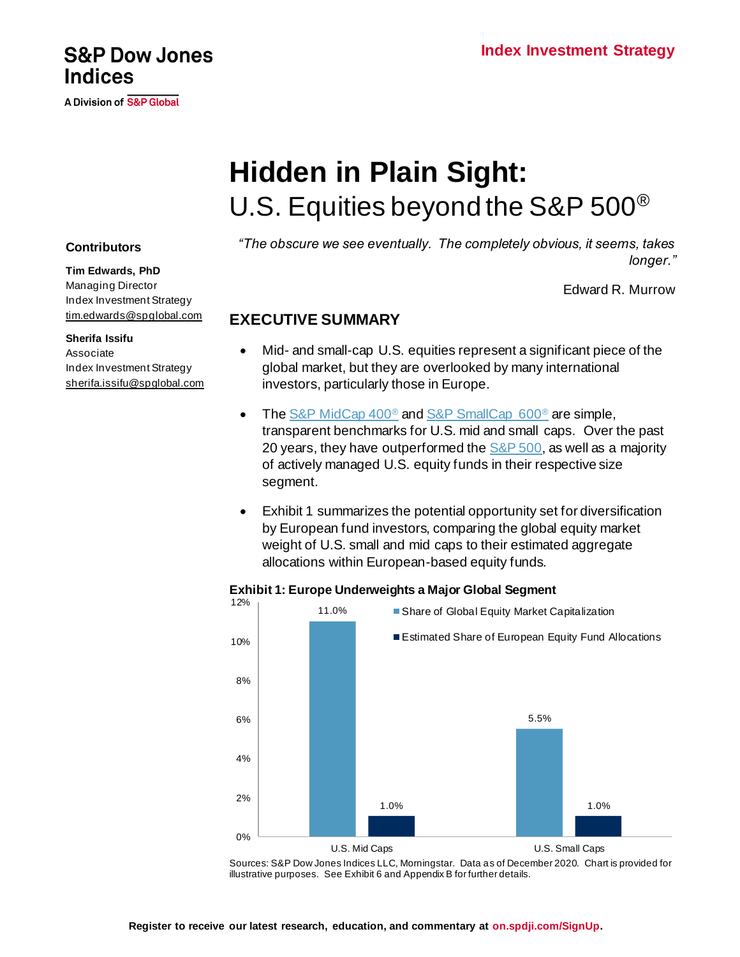# A Division of S&P Global

# **Hidden in Plain Sight:** U.S. Equities beyond the S&P 500®

*"The obscure we see eventually. The completely obvious, it seems, takes longer."*

Edward R. Murrow

# **EXECUTIVE SUMMARY**

- Mid- and small-cap U.S. equities represent a significant piece of the global market, but they are overlooked by many international investors, particularly those in Europe.
- Th[e S&P MidCap 400](https://www.spglobal.com/spdji/en/indices/equity/sp-400/#overview)<sup>®</sup> an[d S&P SmallCap 600](https://www.spglobal.com/spdji/en/indices/equity/sp-600)<sup>®</sup> are simple, transparent benchmarks for U.S. mid and small caps. Over the past 20 years, they have outperformed the  $S&P 500$ , as well as a majority of actively managed U.S. equity funds in their respective size segment.
- Exhibit 1 summarizes the potential opportunity set for diversification by European fund investors, comparing the global equity market weight of U.S. small and mid caps to their estimated aggregate allocations within European-based equity funds.

#### **Exhibit 1: Europe Underweights a Major Global Segment** 12%

Sources: S&P Dow Jones Indices LLC, Morningstar. Data as of December 2020. Chart is provided for illustrative purposes. See Exhibit 6 and Appendix B for further details.

## **Contributors**

**Tim Edwards, PhD** Managing Director Index Investment Strategy [tim.edwards@spglobal.com](mailto:tim.edwards@spglobal.com)

**Sherifa Issifu** Associate Index Investment Strategy [sherifa.issifu@spglobal.com](mailto:sherifa.issifu@spglobal.com)



<sup>11.0%</sup> 5.5% 1.0% 1.0% 0% 2% 4% 6% 8% 10% U.S. Mid Caps U.S. Small Caps ■ Share of Global Equity Market Capitalization Estimated Share of European Equity Fund Allocations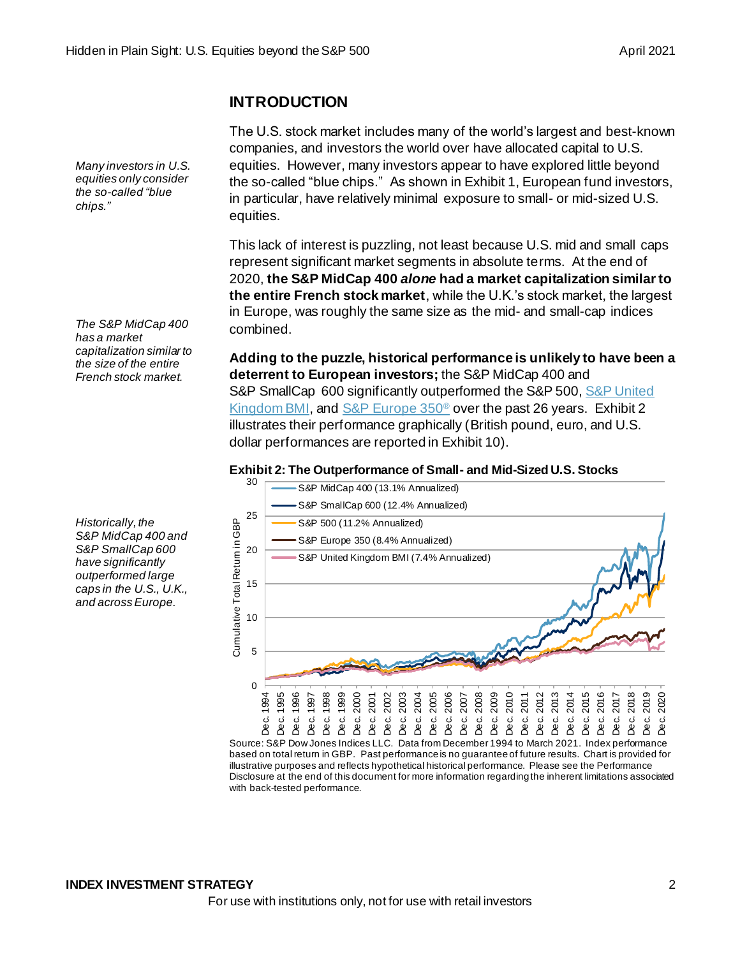## **INTRODUCTION**

The U.S. stock market includes many of the world's largest and best-known companies, and investors the world over have allocated capital to U.S. equities. However, many investors appear to have explored little beyond the so-called "blue chips." As shown in Exhibit 1, European fund investors, in particular, have relatively minimal exposure to small- or mid-sized U.S. equities.

This lack of interest is puzzling, not least because U.S. mid and small caps represent significant market segments in absolute terms. At the end of 2020, **the S&P MidCap 400** *alone* **had a market capitalization similar to the entire French stock market**, while the U.K.'s stock market, the largest in Europe, was roughly the same size as the mid- and small-cap indices combined.

**Adding to the puzzle, historical performance is unlikely to have been a deterrent to European investors;** the S&P MidCap 400 and S&P SmallCap 600 significantly outperformed the S&P 500, S&P United [Kingdom BMI,](https://www.spglobal.com/spdji/en/indices/equity/sp-united-kingdom-bmi/#overview) an[d S&P Europe 350](https://www.spglobal.com/spdji/en/indices/equity/sp-europe-350/)® over the past 26 years. Exhibit 2 illustrates their performance graphically (British pound, euro, and U.S. dollar performances are reported in Exhibit 10).

## **Exhibit 2: The Outperformance of Small- and Mid-Sized U.S. Stocks**



Source: S&P Dow Jones Indices LLC. Data from December 1994 to March 2021. Index performance based on total return in GBP. Past performance is no guarantee of future results. Chart is provided for illustrative purposes and reflects hypothetical historical performance. Please see the Performance Disclosure at the end of this document for more information regarding the inherent limitations associated with back-tested performance.

*Historically, the S&P MidCap 400 and S&P SmallCap 600 have significantly outperformed large caps in the U.S., U.K., and across Europe.*

*Many investors in U.S. equities only consider the so-called "blue* 

*The S&P MidCap 400* 

*capitalization similar to the size of the entire French stock market.*

*has a market* 

*chips."*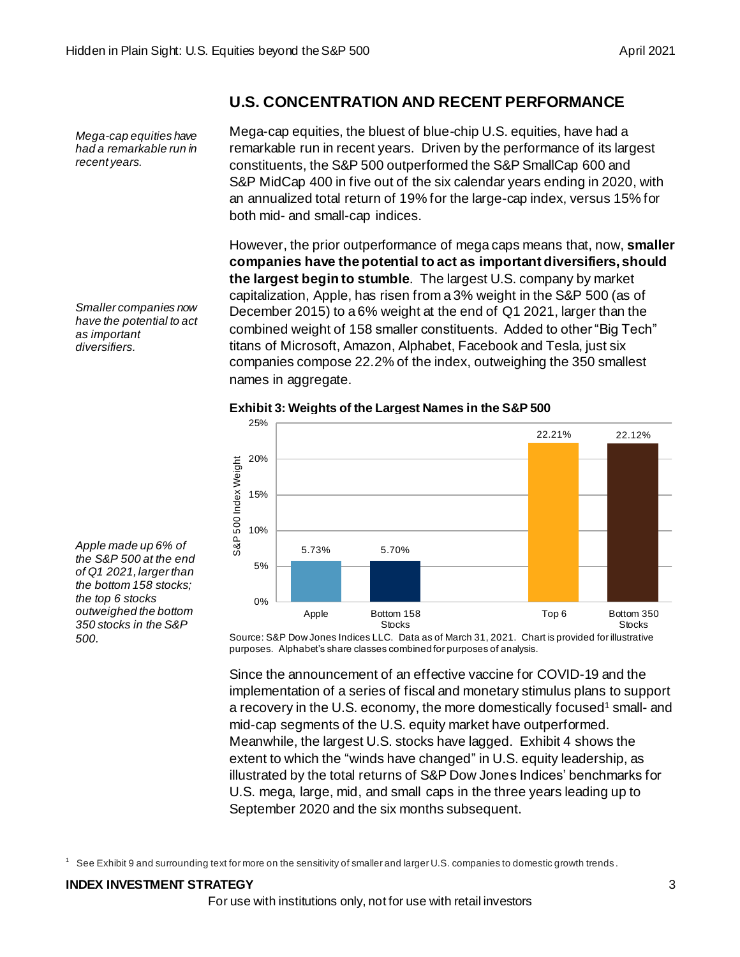*Mega-cap equities have had a remarkable run in recent years.*

*Smaller companies now have the potential to act as important diversifiers.*

*Apple made up 6% of the S&P 500 at the end of Q1 2021, larger than the bottom 158 stocks; the top 6 stocks outweighed the bottom 350 stocks in the S&P* 

*500.* 



# **Exhibit 3: Weights of the Largest Names in the S&P 500**

both mid- and small-cap indices.

names in aggregate.

**U.S. CONCENTRATION AND RECENT PERFORMANCE**

Mega-cap equities, the bluest of blue-chip U.S. equities, have had a remarkable run in recent years. Driven by the performance of its largest constituents, the S&P 500 outperformed the S&P SmallCap 600 and S&P MidCap 400 in five out of the six calendar years ending in 2020, with an annualized total return of 19% for the large-cap index, versus 15% for

However, the prior outperformance of mega caps means that, now, **smaller companies have the potential to act as important diversifiers, should the largest begin to stumble**. The largest U.S. company by market capitalization, Apple, has risen from a 3% weight in the S&P 500 (as of December 2015) to a 6% weight at the end of Q1 2021, larger than the combined weight of 158 smaller constituents. Added to other "Big Tech" titans of Microsoft, Amazon, Alphabet, Facebook and Tesla, just six companies compose 22.2% of the index, outweighing the 350 smallest

Source: S&P Dow Jones Indices LLC. Data as of March 31, 2021. Chart is provided for illustrative purposes. Alphabet's share classes combined for purposes of analysis.

Since the announcement of an effective vaccine for COVID-19 and the implementation of a series of fiscal and monetary stimulus plans to support a recovery in the U.S. economy, the more domestically focused<sup>1</sup> small- and mid-cap segments of the U.S. equity market have outperformed. Meanwhile, the largest U.S. stocks have lagged. Exhibit 4 shows the extent to which the "winds have changed" in U.S. equity leadership, as illustrated by the total returns of S&P Dow Jones Indices' benchmarks for U.S. mega, large, mid, and small caps in the three years leading up to September 2020 and the six months subsequent.

See Exhibit 9 and surrounding text for more on the sensitivity of smaller and larger U.S. companies to domestic growth trends.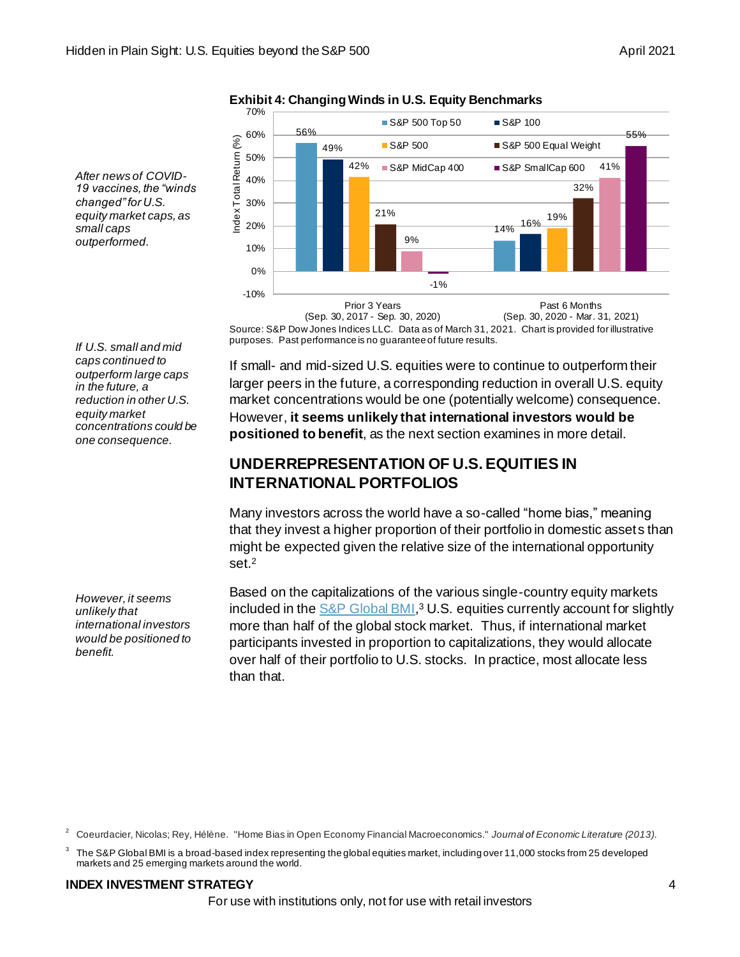70% ■ S&P 500 Top 50 ■ S&P 100 56% 60% 55% ndex Total Retum (%) Index Total Return (%) S&P 500 S&P 500 Equal Weight 49% 50% 42% 41% ■ S&P MidCap 400 ■ S&P SmallCap 600 40% 32% 30% 21% 19% 2001 16% 20% 14% 9% 10% 0% -1% -10% Prior 3 Years Past 6 Months

**Exhibit 4: Changing Winds in U.S. Equity Benchmarks**

*After news of COVID-19 vaccines, the "winds changed" for U.S. equity market caps, as small caps outperformed.*

> Source: S&P Dow Jones Indices LLC. Data as of March 31, 2021. Chart is provided for illustrative purposes. Past performance is no guarantee of future results. (Sep. 30, 2017 - Sep. 30, 2020) (Sep. 30, 2020 - Mar. 31, 2021)

*If U.S. small and mid caps continued to outperform large caps in the future, a reduction in other U.S. equity market concentrations could be one consequence.* 

If small- and mid-sized U.S. equities were to continue to outperform their larger peers in the future, a corresponding reduction in overall U.S. equity market concentrations would be one (potentially welcome) consequence. However, **it seems unlikely that international investors would be positioned to benefit**, as the next section examines in more detail.

# **UNDERREPRESENTATION OF U.S. EQUITIES IN INTERNATIONAL PORTFOLIOS**

Many investors across the world have a so-called "home bias," meaning that they invest a higher proportion of their portfolio in domestic assets than might be expected given the relative size of the international opportunity set. $^2$ 

Based on the capitalizations of the various single-country equity markets included in th[e S&P Global BMI,](https://www.spglobal.com/spdji/en/indices/equity/sp-global-bmi/#overview)<sup>3</sup> U.S. equities currently account for slightly more than half of the global stock market. Thus, if international market participants invested in proportion to capitalizations, they would allocate over half of their portfolio to U.S. stocks. In practice, most allocate less than that.

*However, it seems unlikely that international investors would be positioned to benefit.*

#### **INDEX INVESTMENT STRATEGY** 4

For use with institutions only, not for use with retail investors

<sup>2</sup> Coeurdacier, Nicolas; Rey, Hélène. "Home Bias in Open Economy Financial Macroeconomics." *Journal of Economic Literature (2013)*.

<sup>3</sup> The S&P Global BMI is a broad-based index representing the global equities market, including over 11,000 stocks from 25 developed markets and 25 emerging markets around the world.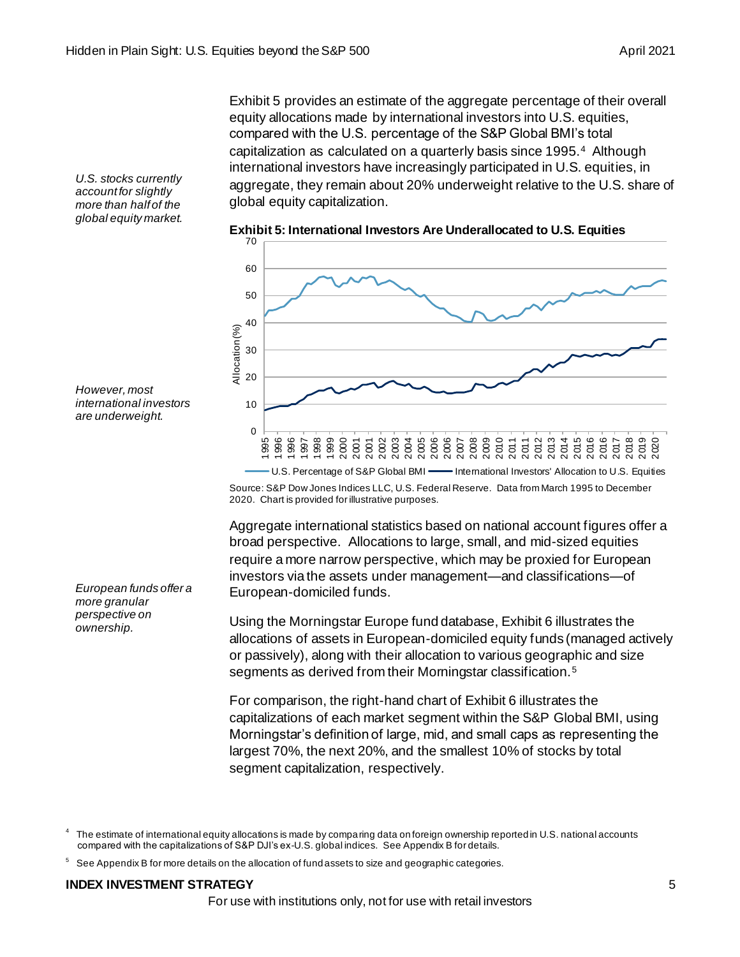Exhibit 5 provides an estimate of the aggregate percentage of their overall equity allocations made by international investors into U.S. equities, compared with the U.S. percentage of the S&P Global BMI's total capitalization as calculated on a quarterly basis since 1995.<sup>4</sup> Although international investors have increasingly participated in U.S. equities, in aggregate, they remain about 20% underweight relative to the U.S. share of global equity capitalization.

*U.S. stocks currently account for slightly more than half of the global equity market.* 



*However, most* 

*international investors are underweight.*

*European funds offer a more granular perspective on ownership.*

Source: S&P Dow Jones Indices LLC, U.S. Federal Reserve. Data from March 1995 to December 2020. Chart is provided for illustrative purposes.

Aggregate international statistics based on national account figures offer a broad perspective. Allocations to large, small, and mid-sized equities require a more narrow perspective, which may be proxied for European investors via the assets under management—and classifications—of European-domiciled funds.

Using the Morningstar Europe fund database, Exhibit 6 illustrates the allocations of assets in European-domiciled equity funds (managed actively or passively), along with their allocation to various geographic and size segments as derived from their Morningstar classification.<sup>5</sup>

For comparison, the right-hand chart of Exhibit 6 illustrates the capitalizations of each market segment within the S&P Global BMI, using Morningstar's definition of large, mid, and small caps as representing the largest 70%, the next 20%, and the smallest 10% of stocks by total segment capitalization, respectively.

<sup>4</sup> The estimate of international equity allocations is made by comparing data on foreign ownership reported in U.S. national accounts compared with the capitalizations of S&P DJI's ex-U.S. global indices. See Appendix B for details.

<sup>5</sup> See Appendix B for more details on the allocation of fund assets to size and geographic categories.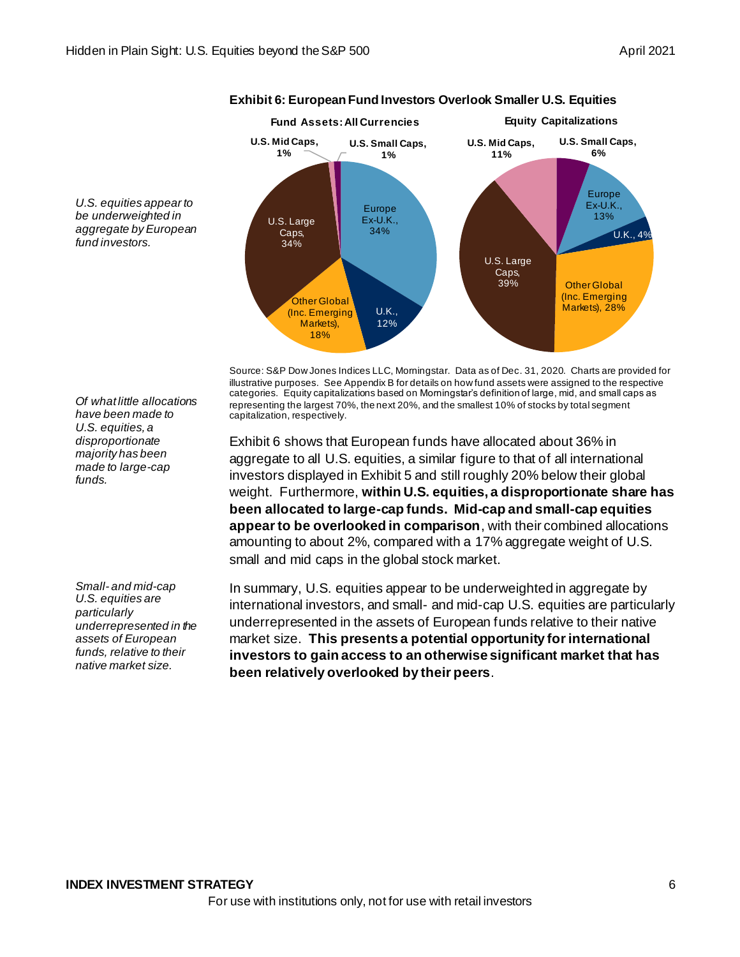

*U.S. equities appear to be underweighted in aggregate by European fund investors.*

> Source: S&P Dow Jones Indices LLC, Morningstar. Data as of Dec. 31, 2020. Charts are provided for illustrative purposes. See Appendix B for details on how fund assets were assigned to the respective categories. Equity capitalizations based on Morningstar's definition of large, mid, and small caps as representing the largest 70%, the next 20%, and the smallest 10% of stocks by total segment capitalization, respectively.

> Exhibit 6 shows that European funds have allocated about 36% in aggregate to all U.S. equities, a similar figure to that of all international investors displayed in Exhibit 5 and still roughly 20% below their global weight. Furthermore, **within U.S. equities, a disproportionate share has been allocated to large-cap funds. Mid-cap and small-cap equities appear to be overlooked in comparison**, with their combined allocations amounting to about 2%, compared with a 17% aggregate weight of U.S. small and mid caps in the global stock market.

> In summary, U.S. equities appear to be underweighted in aggregate by international investors, and small- and mid-cap U.S. equities are particularly underrepresented in the assets of European funds relative to their native market size. **This presents a potential opportunity for international investors to gain access to an otherwise significant market that has been relatively overlooked by their peers**.

*Of what little allocations have been made to U.S. equities, a disproportionate majority has been made to large-cap funds.*

*Small- and mid-cap U.S. equities are particularly underrepresented in the assets of European funds, relative to their native market size.*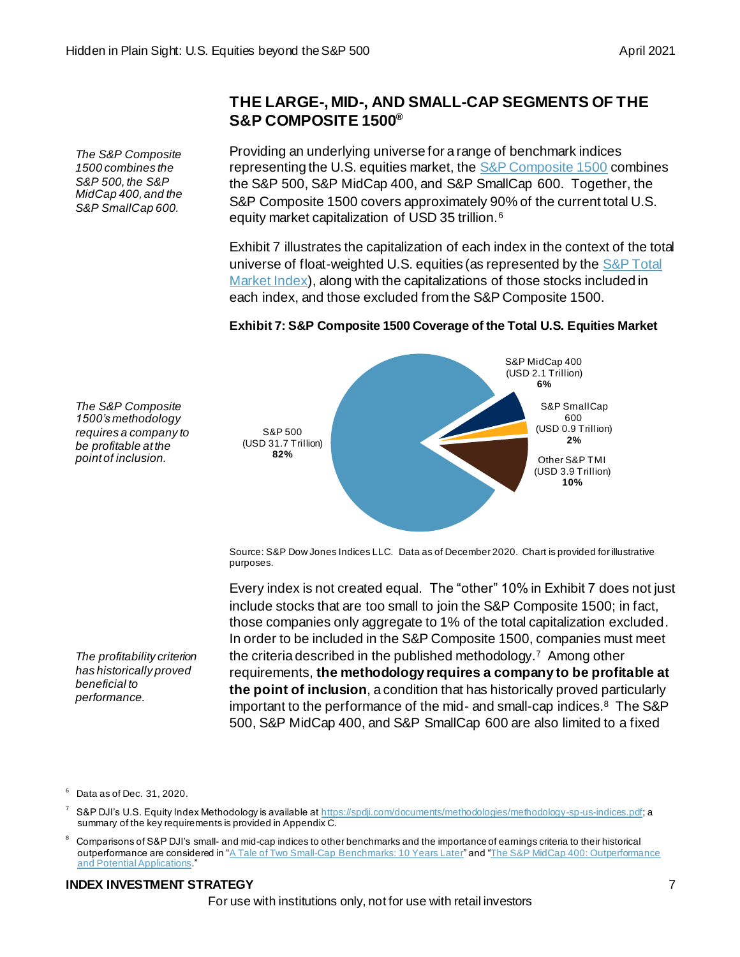*The S&P Composite 1500 combines the S&P 500, the S&P MidCap 400, and the S&P SmallCap 600.*

*The S&P Composite 1500's methodology requires a company to be profitable at the point of inclusion.*

## **THE LARGE-, MID-, AND SMALL-CAP SEGMENTS OF THE S&P COMPOSITE 1500®**

Providing an underlying universe for a range of benchmark indices representing the U.S. equities market, th[e S&P Composite 1500](https://spdji.com/indices/equity/sp-composite-1500) combines the S&P 500, S&P MidCap 400, and S&P SmallCap 600. Together, the S&P Composite 1500 covers approximately 90% of the current total U.S. equity market capitalization of USD 35 trillion.<sup>6</sup>

Exhibit 7 illustrates the capitalization of each index in the context of the total universe of float-weighted U.S. equities (as represented by the S&P Total [Market Index\)](https://www.spglobal.com/spdji/en/indices/equity/sp-total-market-index-tmi/#overview), along with the capitalizations of those stocks included in each index, and those excluded from the S&P Composite 1500.

## **Exhibit 7: S&P Composite 1500 Coverage of the Total U.S. Equities Market**



Source: S&P Dow Jones Indices LLC. Data as of December 2020. Chart is provided for illustrative purposes.

Every index is not created equal. The "other" 10% in Exhibit 7 does not just include stocks that are too small to join the S&P Composite 1500; in fact, those companies only aggregate to 1% of the total capitalization excluded. In order to be included in the S&P Composite 1500, companies must meet the criteria described in the published methodology.<sup>7</sup> Among other requirements, **the methodology requires a company to be profitable at the point of inclusion**, a condition that has historically proved particularly important to the performance of the mid- and small-cap indices.<sup>8</sup> The S&P 500, S&P MidCap 400, and S&P SmallCap 600 are also limited to a fixed

*The profitability criterion has historically proved beneficial to performance.*

#### <sup>6</sup> Data as of Dec. 31, 2020.

S&P DJI's U.S. Equity Index Methodology is available a[t https://spdji.com/documents/methodologies/methodology-sp-us-indices.pdf](https://spdji.com/documents/methodologies/methodology-sp-us-indices.pdf); a summary of the key requirements is provided in Appendix C.

Comparisons of S&P DJI's small- and mid-cap indices to other benchmarks and the importance of earnings criteria to their historical outperformance are considered in ["A Tale of Two Small-Cap Benchmarks: 10 Years Later](https://www.spglobal.com/spdji/en/research/article/a-tale-of-two-small-cap-benchmarks-10-years-later/)" an[d "The S&P MidCap 400: Outperformance](https://www.spglobal.com/spdji/en/research/article/the-sp-midcap-400-outperformance-and-potential-application/)  [and Potential Applications](https://www.spglobal.com/spdji/en/research/article/the-sp-midcap-400-outperformance-and-potential-application/).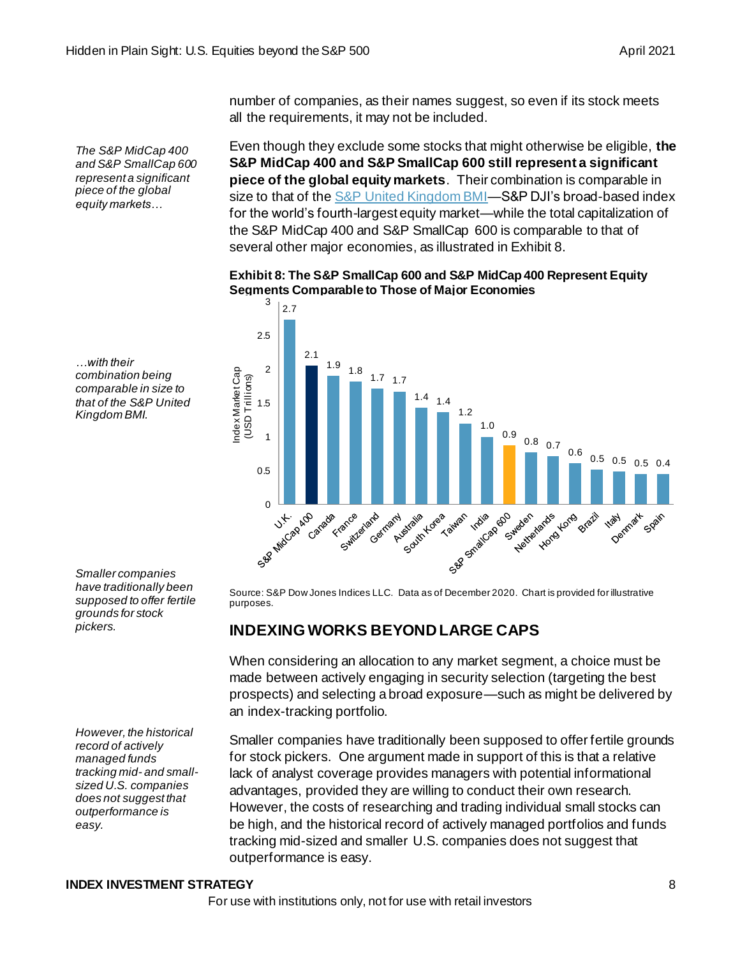*The S&P MidCap 400 and S&P SmallCap 600 represent a significant piece of the global equity markets…*

number of companies, as their names suggest, so even if its stock meets all the requirements, it may not be included.

Even though they exclude some stocks that might otherwise be eligible, **the S&P MidCap 400 and S&P SmallCap 600 still represent a significant piece of the global equity markets**. Their combination is comparable in size to that of the S&P United Kingdom BMI-S&P DJI's broad-based index for the world's fourth-largest equity market—while the total capitalization of the S&P MidCap 400 and S&P SmallCap 600 is comparable to that of several other major economies, as illustrated in Exhibit 8.

#### **Exhibit 8: The S&P SmallCap 600 and S&P MidCap 400 Represent Equity Segments Comparable to Those of Major Economies**



*…with their combination being comparable in size to that of the S&P United Kingdom BMI.*

*Smaller companies have traditionally been supposed to offer fertile grounds for stock pickers.*

*However, the historical record of actively managed funds tracking mid- and smallsized U.S. companies does not suggest that outperformance is easy.*

Source: S&P Dow Jones Indices LLC. Data as of December 2020. Chart is provided for illustrative purposes.

## **INDEXING WORKS BEYOND LARGE CAPS**

When considering an allocation to any market segment, a choice must be made between actively engaging in security selection (targeting the best prospects) and selecting a broad exposure—such as might be delivered by an index-tracking portfolio.

Smaller companies have traditionally been supposed to offer fertile grounds for stock pickers. One argument made in support of this is that a relative lack of analyst coverage provides managers with potential informational advantages, provided they are willing to conduct their own research. However, the costs of researching and trading individual small stocks can be high, and the historical record of actively managed portfolios and funds tracking mid-sized and smaller U.S. companies does not suggest that outperformance is easy.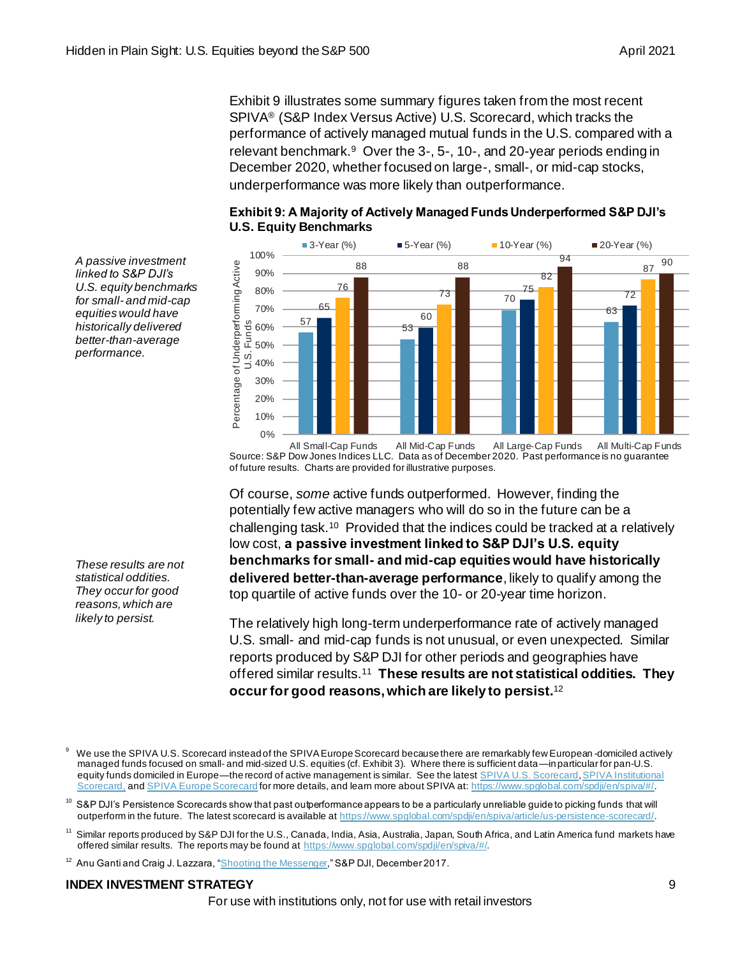Exhibit 9 illustrates some summary figures taken from the most recent SPIVA® (S&P Index Versus Active) U.S. Scorecard, which tracks the performance of actively managed mutual funds in the U.S. compared with a relevant benchmark.<sup>9</sup> Over the 3-, 5-, 10-, and 20-year periods ending in December 2020, whether focused on large-, small-, or mid-cap stocks, underperformance was more likely than outperformance.



## **Exhibit 9: A Majority of Actively Managed Funds Underperformed S&P DJI's U.S. Equity Benchmarks**

*A passive investment linked to S&P DJI's U.S. equity benchmarks for small- and mid-cap equities would have historically delivered better-than-average performance.*

*These results are not statistical oddities. They occur for good reasons, which are likely to persist.*

Source: S&P Dow Jones Indices LLC. Data as of December 2020. Past performance is no guarantee of future results. Charts are provided for illustrative purposes. All Small-Cap Funds All Mid-Cap Funds All Large-Cap Funds All Multi-Cap Funds

Of course, *some* active funds outperformed. However, finding the potentially few active managers who will do so in the future can be a challenging task.<sup>10</sup> Provided that the indices could be tracked at a relatively low cost, **a passive investment linked to S&P DJI's U.S. equity benchmarks for small- and mid-cap equities would have historically delivered better-than-average performance**, likely to qualify among the top quartile of active funds over the 10- or 20-year time horizon.

The relatively high long-term underperformance rate of actively managed U.S. small- and mid-cap funds is not unusual, or even unexpected. Similar reports produced by S&P DJI for other periods and geographies have offered similar results.<sup>11</sup> **These results are not statistical oddities. They occur for good reasons, which are likely to persist.**<sup>12</sup>

We use the SPIVA U.S. Scorecard instead of the SPIVA Europe Scorecard because there are remarkably few European-domiciled actively managed funds focused on small- and mid-sized U.S. equities (cf. Exhibit 3). Where there is sufficient data—in particular for pan-U.S. equity funds domiciled in Europe—the record of active management is similar. See the lates[t SPIVA U.S. Scorecard](https://www.spglobal.com/spdji/en/spiva/article/spiva-us/), SPIVA Institutional [Scorecard,](https://www.spglobal.com/spdji/en/spiva/article/institutional-spiva-scorecard/) an[d SPIVA Europe Scorecard](https://www.spglobal.com/spdji/en/spiva/article/spiva-europe) for more details, and learn more about SPIVA at: https://www.spglobal.com/spdji/en/spiva/#/.

 $^{\rm 10}$  S&P DJI's Persistence Scorecards show that past outperformance appears to be a particularly unreliable guide to picking funds that will outperform in the future. The latest scorecard is available at https://www.spglobal.com/spdji/en/spiva/article/us-persistence-scorecard/.

Similar reports produced by S&P DJI for the U.S., Canada, India, Asia, Australia, Japan, South Africa, and Latin America fund markets have offered similar results. The reports may be found at https://www.spglobal.com/spdji/en/spiva/#/.

<sup>&</sup>lt;sup>12</sup> Anu Ganti and Craig J. Lazzara, ["Shooting the Messenger,](https://www.spglobal.com/spdji/en/documents/research/research-shooting-the-messenger.pdfhttps:/spindices.com/indexology/core/shooting-the-messenger)" S&P DJI, December 2017.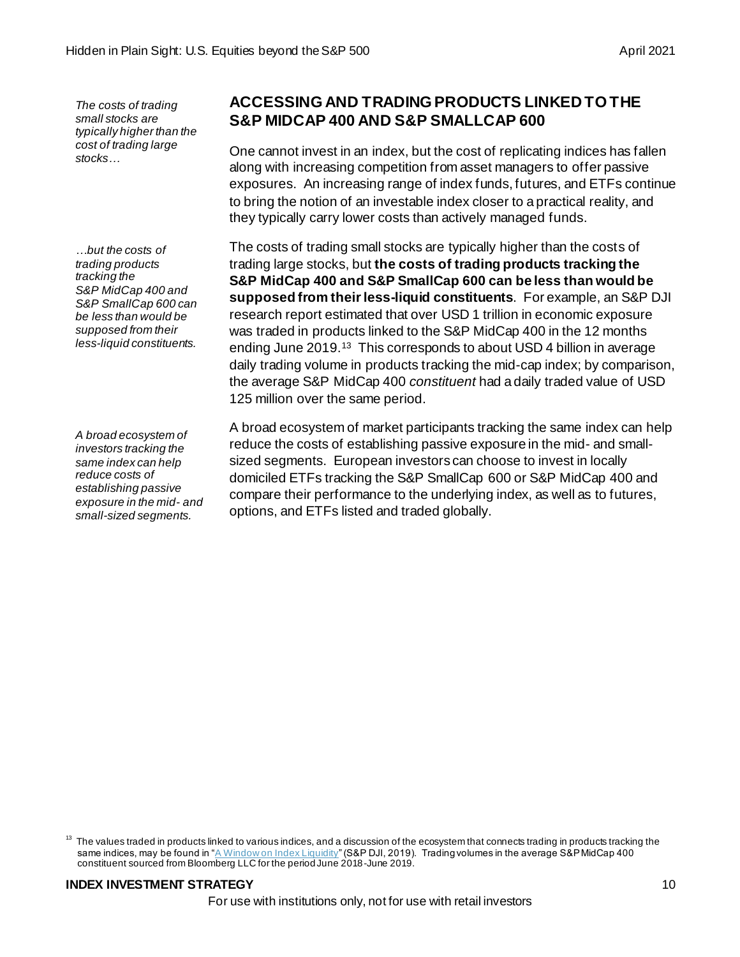*The costs of trading small stocks are typically higher than the cost of trading large stocks…*

*…but the costs of trading products tracking the S&P MidCap 400 and S&P SmallCap 600 can be less than would be supposed from their less-liquid constituents.*

*A broad ecosystem of investors tracking the same index can help reduce costs of establishing passive exposure in the mid- and small-sized segments.*

## **ACCESSING AND TRADING PRODUCTS LINKED TO THE S&P MIDCAP 400 AND S&P SMALLCAP 600**

One cannot invest in an index, but the cost of replicating indices has fallen along with increasing competition from asset managers to offer passive exposures. An increasing range of index funds, futures, and ETFs continue to bring the notion of an investable index closer to a practical reality, and they typically carry lower costs than actively managed funds.

The costs of trading small stocks are typically higher than the costs of trading large stocks, but **the costs of trading products tracking the S&P MidCap 400 and S&P SmallCap 600 can be less than would be supposed from their less-liquid constituents**. For example, an S&P DJI research report estimated that over USD 1 trillion in economic exposure was traded in products linked to the S&P MidCap 400 in the 12 months ending June 2019.<sup>13</sup> This corresponds to about USD 4 billion in average daily trading volume in products tracking the mid-cap index; by comparison, the average S&P MidCap 400 *constituent* had a daily traded value of USD 125 million over the same period.

A broad ecosystem of market participants tracking the same index can help reduce the costs of establishing passive exposure in the mid- and smallsized segments. European investors can choose to invest in locally domiciled ETFs tracking the S&P SmallCap 600 or S&P MidCap 400 and compare their performance to the underlying index, as well as to futures, options, and ETFs listed and traded globally.

 $13$  The values traded in products linked to various indices, and a discussion of the ecosystem that connects trading in products tracking the same indices, may be found in ["A Window on Index Liquidity](https://www.spglobal.com/spdji/en/research/article/a-window-on-index-liquidity-volumes-linked-to-sp-dji-indices/)" (S&P DJI, 2019). Trading volumes in the average S&P MidCap 400 constituent sourced from Bloomberg LLC for the period June 2018-June 2019.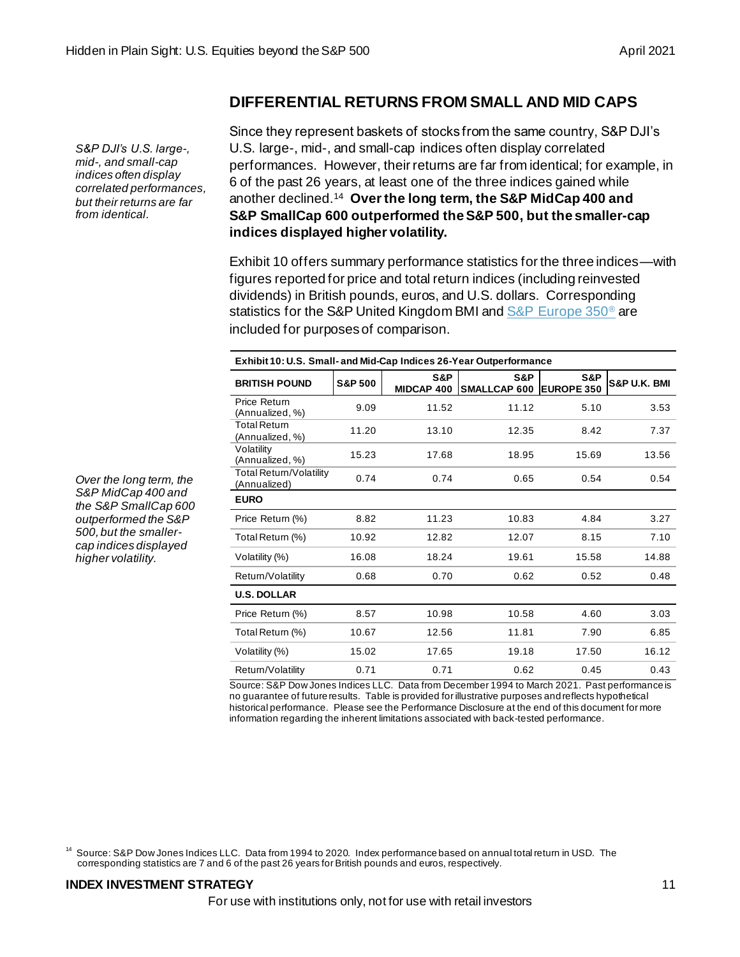## **DIFFERENTIAL RETURNS FROM SMALL AND MID CAPS**

*S&P DJI's U.S. large-, mid-, and small-cap indices often display correlated performances, but their returns are far from identical.*

Since they represent baskets of stocks from the same country, S&P DJI's U.S. large-, mid-, and small-cap indices often display correlated performances. However, their returns are far from identical; for example, in 6 of the past 26 years, at least one of the three indices gained while another declined.<sup>14</sup> **Over the long term, the S&P MidCap 400 and S&P SmallCap 600 outperformed the S&P 500, but the smaller-cap indices displayed higher volatility.**

Exhibit 10 offers summary performance statistics for the three indices—with figures reported for price and total return indices (including reinvested dividends) in British pounds, euros, and U.S. dollars. Corresponding statistics for the S&P United Kingdom BMI an[d S&P Europe 350](https://www.spglobal.com/spdji/en/indices/equity/sp-europe-350/#overview)<sup>®</sup> are included for purposes of comparison.

| Exhibit 10: U.S. Small- and Mid-Cap Indices 26-Year Outperformance |                    |                          |                                |       |                         |  |  |
|--------------------------------------------------------------------|--------------------|--------------------------|--------------------------------|-------|-------------------------|--|--|
| <b>BRITISH POUND</b>                                               | <b>S&amp;P 500</b> | S&P<br><b>MIDCAP 400</b> | S&P<br>SMALLCAP 600 EUROPE 350 | S&P   | <b>S&amp;P U.K. BMI</b> |  |  |
| Price Return<br>(Annualized, %)                                    | 9.09               | 11.52                    | 11.12                          | 5.10  | 3.53                    |  |  |
| <b>Total Return</b><br>(Annualized, %)                             | 11.20              | 13.10                    | 12.35                          | 8.42  | 7.37                    |  |  |
| Volatility<br>(Annualized, %)                                      | 15.23              | 17.68                    | 18.95                          | 15.69 | 13.56                   |  |  |
| Total Return/Volatility<br>(Annualized)                            | 0.74               | 0.74                     | 0.65                           | 0.54  | 0.54                    |  |  |
| <b>EURO</b>                                                        |                    |                          |                                |       |                         |  |  |
| Price Return (%)                                                   | 8.82               | 11.23                    | 10.83                          | 4.84  | 3.27                    |  |  |
| Total Return (%)                                                   | 10.92              | 12.82                    | 12.07                          | 8.15  | 7.10                    |  |  |
| Volatility (%)                                                     | 16.08              | 18.24                    | 19.61                          | 15.58 | 14.88                   |  |  |
| Return/Volatility                                                  | 0.68               | 0.70                     | 0.62                           | 0.52  | 0.48                    |  |  |
| <b>U.S. DOLLAR</b>                                                 |                    |                          |                                |       |                         |  |  |
| Price Return (%)                                                   | 8.57               | 10.98                    | 10.58                          | 4.60  | 3.03                    |  |  |
| Total Return (%)                                                   | 10.67              | 12.56                    | 11.81                          | 7.90  | 6.85                    |  |  |
| Volatility (%)                                                     | 15.02              | 17.65                    | 19.18                          | 17.50 | 16.12                   |  |  |
| Return/Volatility                                                  | 0.71               | 0.71                     | 0.62                           | 0.45  | 0.43                    |  |  |

Source: S&P Dow Jones Indices LLC. Data from December 1994 to March 2021. Past performance is no guarantee of future results. Table is provided for illustrative purposes and reflects hypothetical historical performance. Please see the Performance Disclosure at the end of this document for more information regarding the inherent limitations associated with back-tested performance.

<sup>14</sup> Source: S&P Dow Jones Indices LLC. Data from 1994 to 2020. Index performance based on annual total return in USD. The corresponding statistics are 7 and 6 of the past 26 years for British pounds and euros, respectively.

## **INDEX INVESTMENT STRATEGY** 11

*Over the long term, the S&P MidCap 400 and the S&P SmallCap 600 outperformed the S&P 500, but the smallercap indices displayed higher volatility.*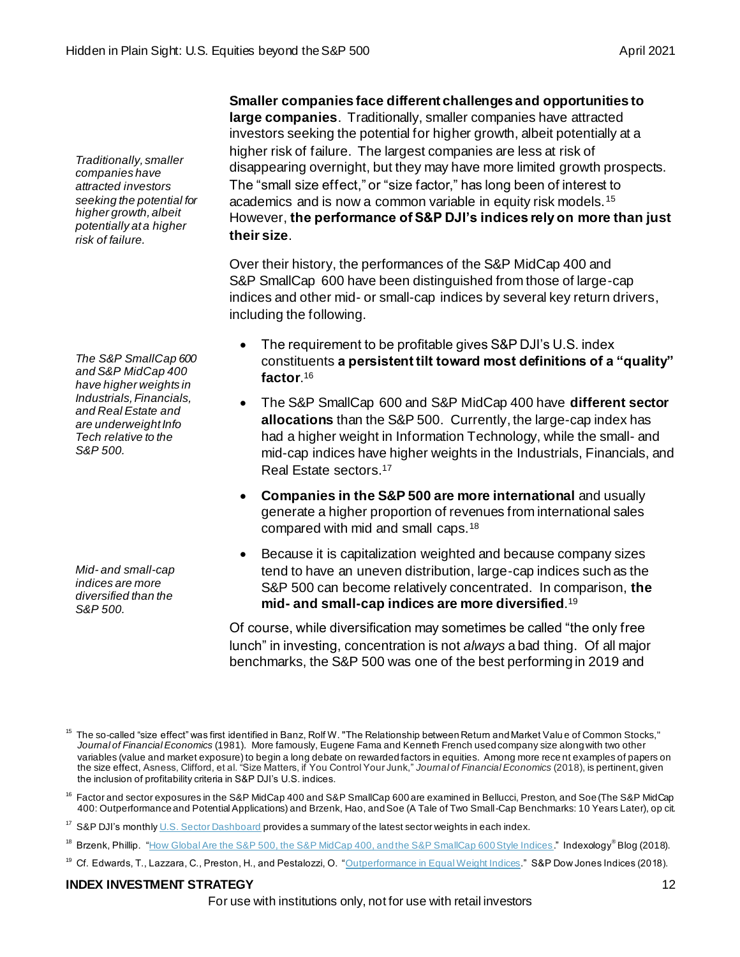**Smaller companies face different challenges and opportunities to large companies**. Traditionally, smaller companies have attracted investors seeking the potential for higher growth, albeit potentially at a higher risk of failure. The largest companies are less at risk of disappearing overnight, but they may have more limited growth prospects. The "small size effect," or "size factor," has long been of interest to academics and is now a common variable in equity risk models.<sup>15</sup> However, **the performance of S&P DJI's indices rely on more than just their size**.

Over their history, the performances of the S&P MidCap 400 and S&P SmallCap 600 have been distinguished from those of large-cap indices and other mid- or small-cap indices by several key return drivers, including the following.

- The requirement to be profitable gives S&P DJI's U.S. index constituents **a persistent tilt toward most definitions of a "quality" factor**. 16
- The S&P SmallCap 600 and S&P MidCap 400 have **different sector allocations** than the S&P 500. Currently, the large-cap index has had a higher weight in Information Technology, while the small- and mid-cap indices have higher weights in the Industrials, Financials, and Real Estate sectors. 17
- **Companies in the S&P 500 are more international** and usually generate a higher proportion of revenues from international sales compared with mid and small caps.<sup>18</sup>
- Because it is capitalization weighted and because company sizes tend to have an uneven distribution, large-cap indices such as the S&P 500 can become relatively concentrated. In comparison, **the mid- and small-cap indices are more diversified**. 19

Of course, while diversification may sometimes be called "the only free lunch" in investing, concentration is not *always* a bad thing. Of all major benchmarks, the S&P 500 was one of the best performing in 2019 and

## **INDEX INVESTMENT STRATEGY** 12

#### *companies have attracted investors seeking the potential for higher growth, albeit potentially at a higher risk of failure.*

*Traditionally, smaller* 

*The S&P SmallCap 600 and S&P MidCap 400 have higher weights in Industrials, Financials, and Real Estate and are underweight Info Tech relative to the S&P 500.*

*Mid- and small-cap indices are more diversified than the S&P 500.*

The so-called "size effect" was first identified in Banz, Rolf W. "The Relationship between Return and Market Valu e of Common Stocks," *Journal of Financial Economics* (1981). More famously, Eugene Fama and Kenneth French used company size along with two other variables (value and market exposure) to begin a long debate on rewarded factors in equities. Among more rece nt examples of papers on the size effect, Asness, Clifford, et al. "Size Matters, if You Control Your Junk," *Journal of Financial Economics* (2018), is pertinent, given the inclusion of profitability criteria in S&P DJI's U.S. indices.

 $16$  Factor and sector exposures in the S&P MidCap 400 and S&P SmallCap 600 are examined in Bellucci, Preston, and Soe (The S&P MidCap 400: Outperformance and Potential Applications) and Brzenk, Hao, and Soe (A Tale of Two Small-Cap Benchmarks: 10 Years Later), op cit.

<sup>&</sup>lt;sup>17</sup> S&P DJI's monthl[y U.S. Sector Dashboard](https://www.spglobal.com/spdji/en/documents/performance-reports/dashboard-us-sector.pdf) provides a summary of the latest sector weights in each index.

<sup>&</sup>lt;sup>18</sup> Brzenk, Phillip. ["How Global Are the S&P 500, the S&P MidCap 400, and the S&P SmallCap 600 Style Indices](https://www.indexologyblog.com/2018/02/28/how-global-are-the-sp-500-the-sp-midcap-400-and-the-sp-smallcap-600-style-indices)." Indexology® Blog (2018).

<sup>&</sup>lt;sup>19</sup> Cf. Edwards, T., Lazzara, C., Preston, H., and Pestalozzi, O. ["Outperformance in Equal Weight Indices](https://www.spglobal.com/spdji/en/documents/research/research-outperformance-in-equal-weight-indices.pdf)." S&P Dow Jones Indices (2018).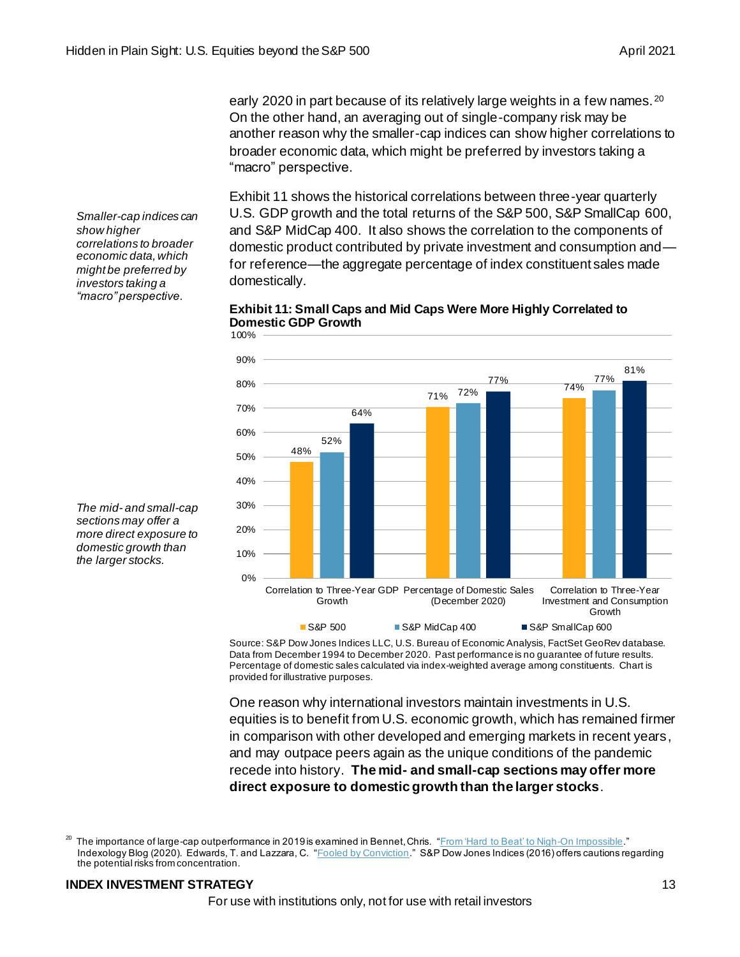early 2020 in part because of its relatively large weights in a few names.  $^{20}$ On the other hand, an averaging out of single-company risk may be another reason why the smaller-cap indices can show higher correlations to broader economic data, which might be preferred by investors taking a "macro" perspective.

Exhibit 11 shows the historical correlations between three-year quarterly U.S. GDP growth and the total returns of the S&P 500, S&P SmallCap 600, and S&P MidCap 400. It also shows the correlation to the components of domestic product contributed by private investment and consumption and for reference—the aggregate percentage of index constituent sales made domestically.





Source: S&P Dow Jones Indices LLC, U.S. Bureau of Economic Analysis, FactSet GeoRev database. Data from December 1994 to December 2020. Past performance is no guarantee of future results. Percentage of domestic sales calculated via index-weighted average among constituents. Chart is provided for illustrative purposes.

One reason why international investors maintain investments in U.S. equities is to benefit from U.S. economic growth, which has remained firmer in comparison with other developed and emerging markets in recent years, and may outpace peers again as the unique conditions of the pandemic recede into history. **The mid- and small-cap sections may offer more direct exposure to domestic growth than the larger stocks**.

## **INDEX INVESTMENT STRATEGY** 13

*Smaller-cap indices can show higher correlations to broader economic data, which might be preferred by investors taking a "macro" perspective.*



<sup>&</sup>lt;sup>20</sup> The importance of large-cap outperformance in 2019 is examined in Bennet, Chris. ["From 'Hard to Beat' to Nigh-On Impossible.](file:///C:/Users/sherifa_issifu/AppData/Local/Microsoft/Windows/INetCache/Content.Outlook/GRT95P3B/From%20‘Hard%20to%20Beat’%20to%20Nigh-On%20Impossible)" Indexology Blog (2020). Edwards, T. and Lazzara, C. ["Fooled by Conviction](https://spdji.com/documents/research/research-fooled-by-conviction.pdf)." S&P Dow Jones Indices (2016) offers cautions regarding the potential risks from concentration.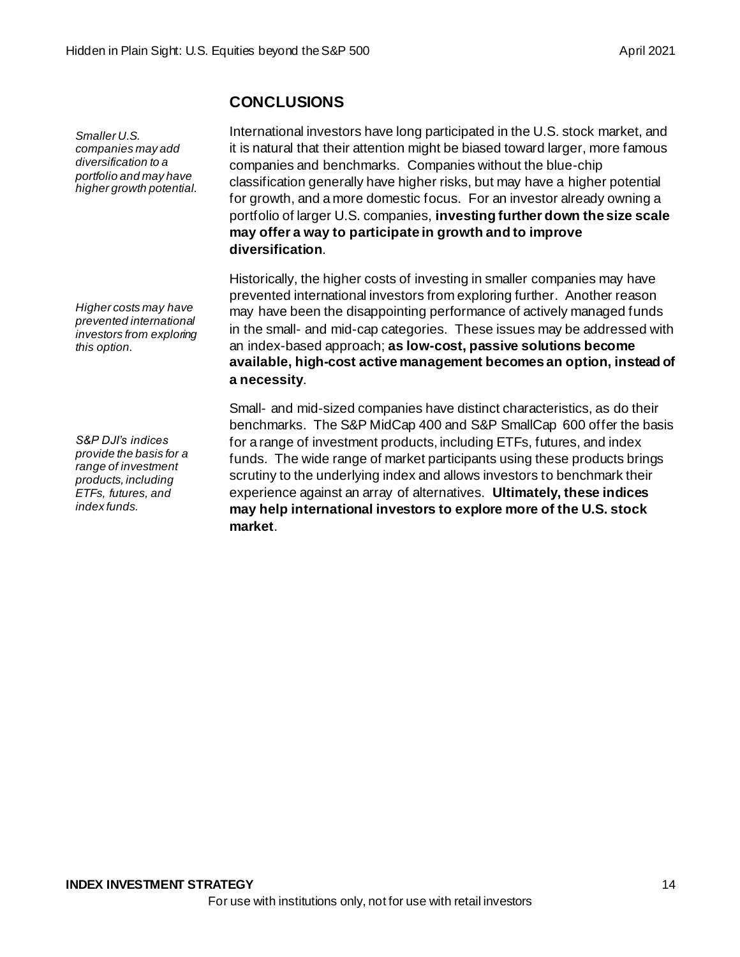## **CONCLUSIONS**

*Smaller U.S. companies may add diversification to a portfolio and may have higher growth potential.*

*Higher costs may have prevented international investors from exploring this option.* 

*S&P DJI's indices provide the basis for a range of investment products, including ETFs, futures, and index funds.* 

International investors have long participated in the U.S. stock market, and it is natural that their attention might be biased toward larger, more famous companies and benchmarks. Companies without the blue-chip classification generally have higher risks, but may have a higher potential for growth, and a more domestic focus. For an investor already owning a portfolio of larger U.S. companies, **investing further down the size scale may offer a way to participate in growth and to improve diversification**.

Historically, the higher costs of investing in smaller companies may have prevented international investors from exploring further. Another reason may have been the disappointing performance of actively managed funds in the small- and mid-cap categories. These issues may be addressed with an index-based approach; **as low-cost, passive solutions become available, high-cost active management becomes an option, instead of a necessity**.

Small- and mid-sized companies have distinct characteristics, as do their benchmarks. The S&P MidCap 400 and S&P SmallCap 600 offer the basis for a range of investment products, including ETFs, futures, and index funds. The wide range of market participants using these products brings scrutiny to the underlying index and allows investors to benchmark their experience against an array of alternatives. **Ultimately, these indices may help international investors to explore more of the U.S. stock market**.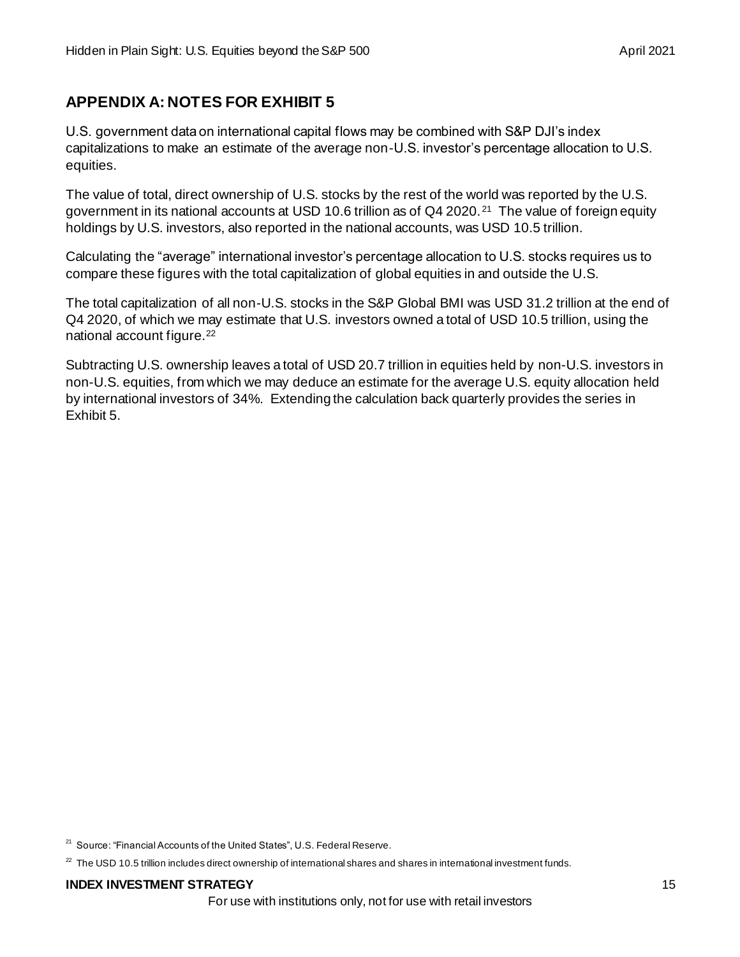# **APPENDIX A: NOTES FOR EXHIBIT 5**

U.S. government data on international capital flows may be combined with S&P DJI's index capitalizations to make an estimate of the average non-U.S. investor's percentage allocation to U.S. equities.

The value of total, direct ownership of U.S. stocks by the rest of the world was reported by the U.S. government in its national accounts at USD 10.6 trillion as of Q4 2020.<sup>21</sup> The value of foreign equity holdings by U.S. investors, also reported in the national accounts, was USD 10.5 trillion.

Calculating the "average" international investor's percentage allocation to U.S. stocks requires us to compare these figures with the total capitalization of global equities in and outside the U.S.

The total capitalization of all non-U.S. stocks in the S&P Global BMI was USD 31.2 trillion at the end of Q4 2020, of which we may estimate that U.S. investors owned a total of USD 10.5 trillion, using the national account figure.<sup>22</sup>

Subtracting U.S. ownership leaves a total of USD 20.7 trillion in equities held by non-U.S. investors in non-U.S. equities, from which we may deduce an estimate for the average U.S. equity allocation held by international investors of 34%. Extending the calculation back quarterly provides the series in Exhibit 5.

<sup>&</sup>lt;sup>21</sup> Source: "Financial Accounts of the United States", U.S. Federal Reserve.

 $22$  The USD 10.5 trillion includes direct ownership of international shares and shares in international investment funds.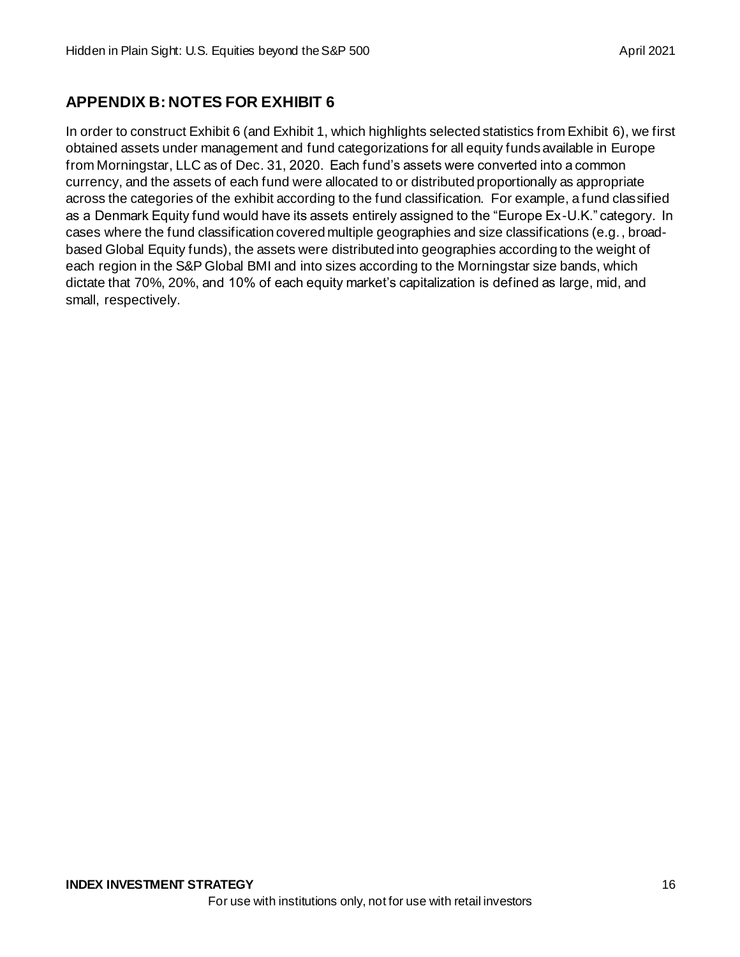# **APPENDIX B: NOTES FOR EXHIBIT 6**

In order to construct Exhibit 6 (and Exhibit 1, which highlights selected statistics from Exhibit 6), we first obtained assets under management and fund categorizations for all equity funds available in Europe from Morningstar, LLC as of Dec. 31, 2020. Each fund's assets were converted into a common currency, and the assets of each fund were allocated to or distributed proportionally as appropriate across the categories of the exhibit according to the fund classification. For example, a fund classified as a Denmark Equity fund would have its assets entirely assigned to the "Europe Ex-U.K." category. In cases where the fund classification covered multiple geographies and size classifications (e.g., broadbased Global Equity funds), the assets were distributed into geographies according to the weight of each region in the S&P Global BMI and into sizes according to the Morningstar size bands, which dictate that 70%, 20%, and 10% of each equity market's capitalization is defined as large, mid, and small, respectively.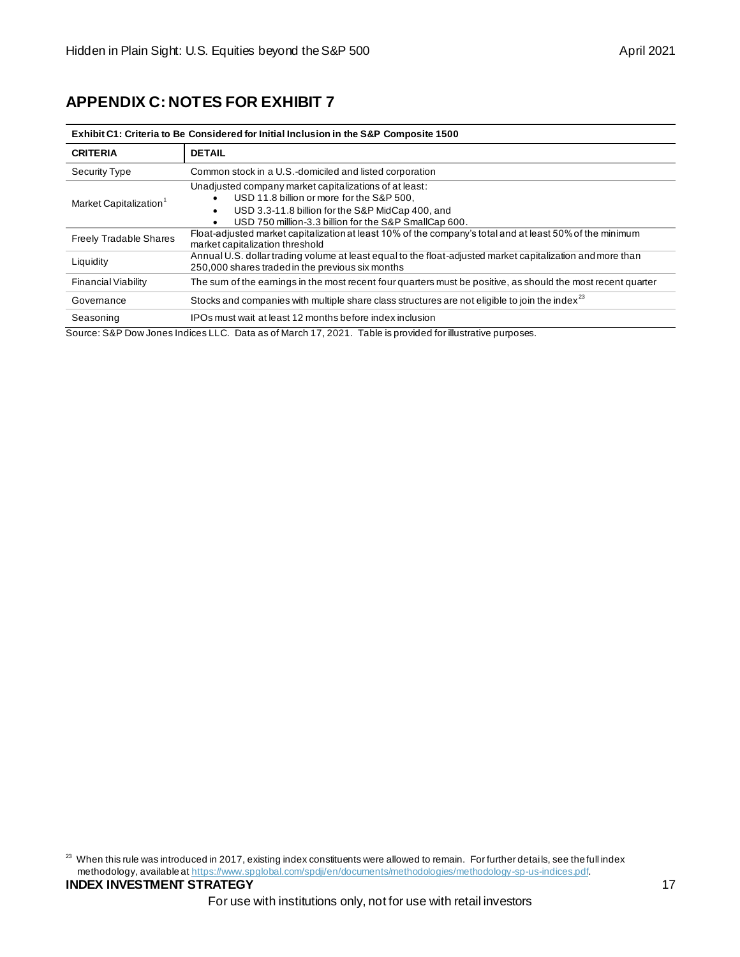# **APPENDIX C: NOTES FOR EXHIBIT 7**

| Exhibit C1: Criteria to Be Considered for Initial Inclusion in the S&P Composite 1500 |                                                                                                                                                                                                                               |  |  |  |
|---------------------------------------------------------------------------------------|-------------------------------------------------------------------------------------------------------------------------------------------------------------------------------------------------------------------------------|--|--|--|
| <b>CRITERIA</b>                                                                       | <b>DETAIL</b>                                                                                                                                                                                                                 |  |  |  |
| Security Type                                                                         | Common stock in a U.S.-domiciled and listed corporation                                                                                                                                                                       |  |  |  |
| Market Capitalization <sup>1</sup>                                                    | Unadjusted company market capitalizations of at least:<br>USD 11.8 billion or more for the S&P 500,<br>USD 3.3-11.8 billion for the S&P MidCap 400, and<br>USD 750 million-3.3 billion for the S&P SmallCap 600.<br>$\bullet$ |  |  |  |
| <b>Freely Tradable Shares</b>                                                         | Float-adjusted market capitalization at least 10% of the company's total and at least 50% of the minimum<br>market capitalization threshold                                                                                   |  |  |  |
| Liquidity                                                                             | Annual U.S. dollar trading volume at least equal to the float-adjusted market capitalization and more than<br>250,000 shares traded in the previous six months                                                                |  |  |  |
| <b>Financial Viability</b>                                                            | The sum of the eamings in the most recent four quarters must be positive, as should the most recent quarter                                                                                                                   |  |  |  |
| Governance                                                                            | Stocks and companies with multiple share class structures are not eligible to join the index <sup>23</sup>                                                                                                                    |  |  |  |
| Seasoning                                                                             | IPOs must wait at least 12 months before index inclusion                                                                                                                                                                      |  |  |  |

Source: S&P Dow Jones Indices LLC. Data as of March 17, 2021. Table is provided for illustrative purposes.

<sup>23</sup> When this rule was introduced in 2017, existing index constituents were allowed to remain. For further details, see the full index methodology, available [at https://www.spglobal.com/spdji/en/documents/methodologies/methodology-sp-us-indices.pdf](https://www.spglobal.com/spdji/en/documents/methodologies/methodology-sp-us-indices.pdf).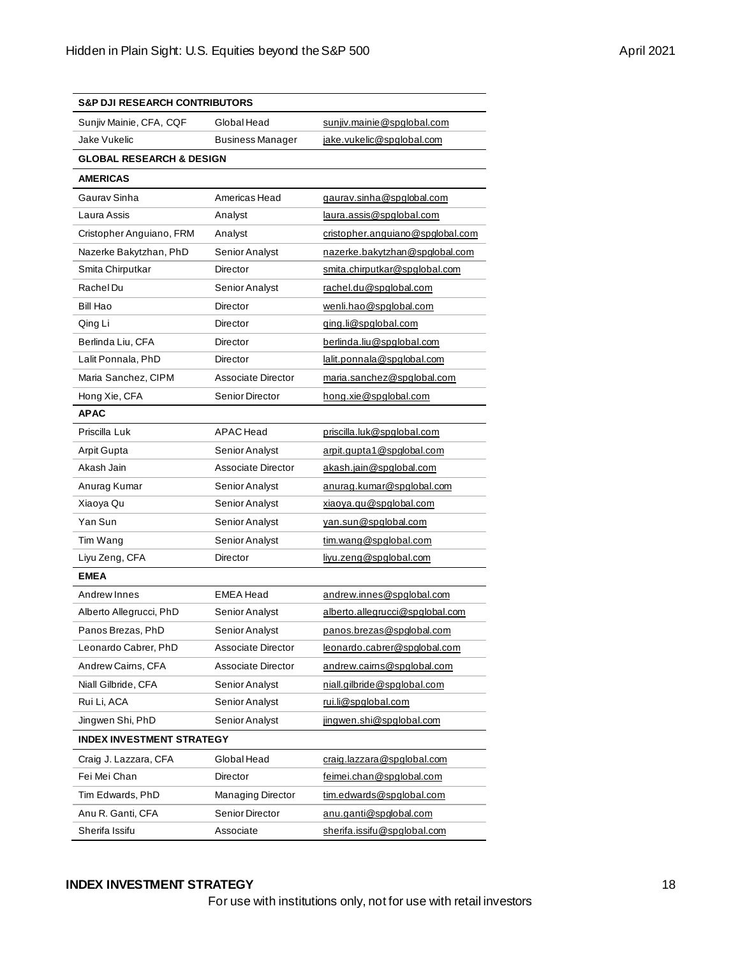| <b>S&amp;P DJI RESEARCH CONTRIBUTORS</b> |                         |                                  |  |  |  |  |
|------------------------------------------|-------------------------|----------------------------------|--|--|--|--|
| Sunjiv Mainie, CFA, CQF                  | Global Head             | sunjiv.mainie@spglobal.com       |  |  |  |  |
| Jake Vukelic                             | <b>Business Manager</b> | jake.vukelic@spglobal.com        |  |  |  |  |
| <b>GLOBAL RESEARCH &amp; DESIGN</b>      |                         |                                  |  |  |  |  |
| <b>AMERICAS</b>                          |                         |                                  |  |  |  |  |
| Gaurav Sinha                             | Americas Head           | gaurav.sinha@spglobal.com        |  |  |  |  |
| Laura Assis                              | Analyst                 | <u>laura.assis@spqlobal.com</u>  |  |  |  |  |
| Cristopher Anguiano, FRM                 | Analyst                 | cristopher.anguiano@spqlobal.com |  |  |  |  |
| Nazerke Bakytzhan, PhD                   | Senior Analyst          | nazerke.bakytzhan@spqlobal.com   |  |  |  |  |
| Smita Chirputkar                         | Director                | smita.chirputkar@spglobal.com    |  |  |  |  |
| Rachel Du                                | Senior Analyst          | rachel.du@spqlobal.com           |  |  |  |  |
| Bill Hao                                 | Director                | wenli.hao@spglobal.com           |  |  |  |  |
| Qing Li                                  | Director                | ging.li@spglobal.com             |  |  |  |  |
| Berlinda Liu, CFA                        | Director                | berlinda.liu@spglobal.com        |  |  |  |  |
| Lalit Ponnala, PhD                       | Director                | lalit.ponnala@spqlobal.com       |  |  |  |  |
| Maria Sanchez, CIPM                      | Associate Director      | maria.sanchez@spglobal.com       |  |  |  |  |
| Hong Xie, CFA                            | Senior Director         | hong.xie@spglobal.com            |  |  |  |  |
| <b>APAC</b>                              |                         |                                  |  |  |  |  |
| Priscilla Luk                            | <b>APAC</b> Head        | priscilla.luk@spglobal.com       |  |  |  |  |
| Arpit Gupta                              | Senior Analyst          | arpit.qupta1@spqlobal.com        |  |  |  |  |
| Akash Jain                               | Associate Director      | akash.jain@spglobal.com          |  |  |  |  |
| Anurag Kumar                             | Senior Analyst          | anurag.kumar@spqlobal.com        |  |  |  |  |
| Xiaoya Qu                                | Senior Analyst          | xiaoya.qu@spglobal.com           |  |  |  |  |
| Yan Sun                                  | Senior Analyst          | yan.sun@spglobal.com             |  |  |  |  |
| Tim Wang                                 | Senior Analyst          | tim.wang@spglobal.com            |  |  |  |  |
| Liyu Zeng, CFA                           | Director                | livu.zeng@spglobal.com           |  |  |  |  |
| <b>EMEA</b>                              |                         |                                  |  |  |  |  |
| Andrew Innes                             | <b>EMEA Head</b>        | andrew.innes@spqlobal.com        |  |  |  |  |
| Alberto Allegrucci, PhD                  | Senior Analyst          | alberto.allegrucci@spglobal.com  |  |  |  |  |
| Panos Brezas. PhD                        | Senior Analyst          | panos.brezas@spglobal.com        |  |  |  |  |
| Leonardo Cabrer, PhD                     | Associate Director      | leonardo.cabrer@spglobal.com     |  |  |  |  |
| Andrew Cairns, CFA                       | Associate Director      | andrew.cairns@spqlobal.com       |  |  |  |  |
| Niall Gilbride, CFA                      | Senior Analyst          | niall.gilbride@spglobal.com      |  |  |  |  |
| Rui Li, ACA                              | Senior Analyst          | rui.li@spglobal.com              |  |  |  |  |
| Jingwen Shi, PhD                         | Senior Analyst          | jingwen.shi@spglobal.com         |  |  |  |  |
| <b>INDEX INVESTMENT STRATEGY</b>         |                         |                                  |  |  |  |  |
| Craig J. Lazzara, CFA                    | Global Head             | craig.lazzara@spglobal.com       |  |  |  |  |
| Fei Mei Chan                             | Director                | feimei.chan@spglobal.com         |  |  |  |  |
| Tim Edwards, PhD                         | Managing Director       | tim.edwards@spglobal.com         |  |  |  |  |
| Anu R. Ganti, CFA                        | Senior Director         | anu.ganti@spglobal.com           |  |  |  |  |
| Sherifa Issifu                           | Associate               | sherifa.issifu@spqlobal.com      |  |  |  |  |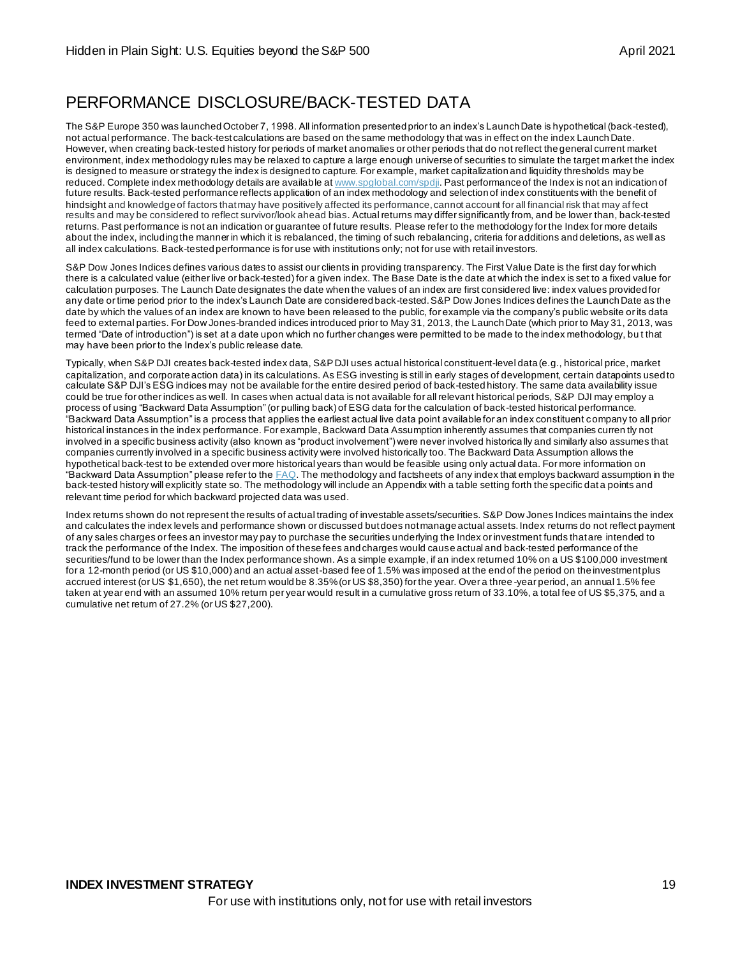# PERFORMANCE DISCLOSURE/BACK-TESTED DATA

The S&P Europe 350 was launched October 7, 1998. All information presented prior to an index's Launch Date is hypothetical (back-tested), not actual performance. The back-test calculations are based on the same methodology that was in effect on the index Launch Date. However, when creating back-tested history for periods of market anomalies or other periods that do not reflect the general current market environment, index methodology rules may be relaxed to capture a large enough universe of securities to simulate the target market the index is designed to measure or strategy the index is designed to capture. For example, market capitalization and liquidity thresholds may be reduced. Complete index methodology details are available a[t www.spglobal.com/spdji](http://www.spglobal.com/spdji). Past performance of the Index is not an indication of future results. Back-tested performance reflects application of an index methodology and selection of index constituents with the benefit of hindsight and knowledge of factors that may have positively affected its performance, cannot account for all financial risk that may af fect results and may be considered to reflect survivor/look ahead bias. Actual returns may differ significantly from, and be lower than, back-tested returns. Past performance is not an indication or guarantee of future results. Please refer to the methodology for the Index for more details about the index, including the manner in which it is rebalanced, the timing of such rebalancing, criteria for additions and deletions, as well as all index calculations. Back-tested performance is for use with institutions only; not for use with retail investors.

S&P Dow Jones Indices defines various dates to assist our clients in providing transparency. The First Value Date is the first day for which there is a calculated value (either live or back-tested) for a given index. The Base Date is the date at which the index is set to a fixed value for calculation purposes. The Launch Date designates the date when the values of an index are first considered live: index values provided for any date or time period prior to the index's Launch Date are considered back-tested. S&P Dow Jones Indices defines the Launch Date as the date by which the values of an index are known to have been released to the public, for example via the company's public website or its data feed to external parties. For Dow Jones-branded indices introduced prior to May 31, 2013, the Launch Date (which prior to May 31, 2013, was termed "Date of introduction") is set at a date upon which no further changes were permitted to be made to the index methodology, bu t that may have been prior to the Index's public release date.

Typically, when S&P DJI creates back-tested index data, S&P DJI uses actual historical constituent-level data (e.g., historical price, market capitalization, and corporate action data) in its calculations. As ESG investing is still in early stages of development, certain datapoints used to calculate S&P DJI's ESG indices may not be available for the entire desired period of back-tested history. The same data availability issue could be true for other indices as well. In cases when actual data is not available for all relevant historical periods, S&P DJI may employ a process of using "Backward Data Assumption" (or pulling back) of ESG data for the calculation of back-tested historical performance. "Backward Data Assumption" is a process that applies the earliest actual live data point available for an index constituent company to all prior historical instances in the index performance. For example, Backward Data Assumption inherently assumes that companies curren tly not involved in a specific business activity (also known as "product involvement") were never involved historica lly and similarly also assumes that companies currently involved in a specific business activity were involved historically too. The Backward Data Assumption allows the hypothetical back-test to be extended over more historical years than would be feasible using only actual data. For more information on "Backward Data Assumption" please refer to th[e FAQ](https://www.spglobal.com/spdji/en/education/article/faq-esg-back-testing-backward-data-assumption-overview/). The methodology and factsheets of any index that employs backward assumption in the back-tested history will explicitly state so. The methodology will include an Appendix with a table setting forth the specific dat a points and relevant time period for which backward projected data was used.

Index returns shown do not represent the results of actual trading of investable assets/securities. S&P Dow Jones Indices maintains the index and calculates the index levels and performance shown or discussed but does not manage actual assets. Index returns do not reflect payment of any sales charges or fees an investor may pay to purchase the securities underlying the Index or investment funds that are intended to track the performance of the Index. The imposition of these fees and charges would cause actual and back-tested performance of the securities/fund to be lower than the Index performance shown. As a simple example, if an index returned 10% on a US \$100,000 investment for a 12-month period (or US \$10,000) and an actual asset-based fee of 1.5% was imposed at the end of the period on the investment plus accrued interest (or US \$1,650), the net return would be 8.35% (or US \$8,350) for the year. Over a three -year period, an annual 1.5% fee taken at year end with an assumed 10% return per year would result in a cumulative gross return of 33.10%, a total fee of US \$5,375, and a cumulative net return of 27.2% (or US \$27,200).